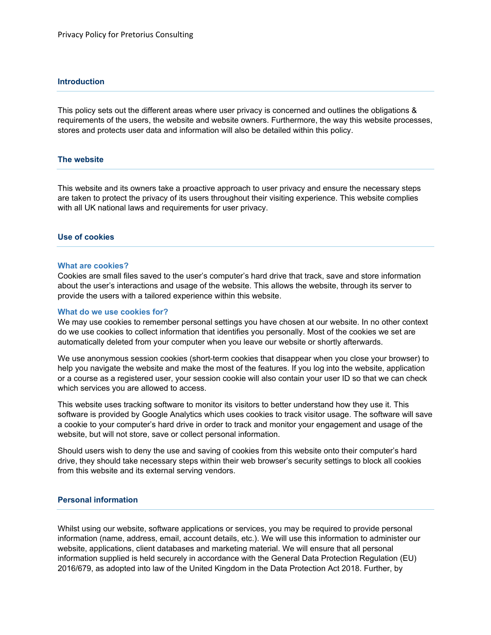## **Introduction**

This policy sets out the different areas where user privacy is concerned and outlines the obligations & requirements of the users, the website and website owners. Furthermore, the way this website processes, stores and protects user data and information will also be detailed within this policy.

# **The website**

This website and its owners take a proactive approach to user privacy and ensure the necessary steps are taken to protect the privacy of its users throughout their visiting experience. This website complies with all UK national laws and requirements for user privacy.

### **Use of cookies**

### **What are cookies?**

Cookies are small files saved to the user's computer's hard drive that track, save and store information about the user's interactions and usage of the website. This allows the website, through its server to provide the users with a tailored experience within this website.

### **What do we use cookies for?**

We may use cookies to remember personal settings you have chosen at our website. In no other context do we use cookies to collect information that identifies you personally. Most of the cookies we set are automatically deleted from your computer when you leave our website or shortly afterwards.

We use anonymous session cookies (short-term cookies that disappear when you close your browser) to help you navigate the website and make the most of the features. If you log into the website, application or a course as a registered user, your session cookie will also contain your user ID so that we can check which services you are allowed to access.

This website uses tracking software to monitor its visitors to better understand how they use it. This software is provided by Google Analytics which uses cookies to track visitor usage. The software will save a cookie to your computer's hard drive in order to track and monitor your engagement and usage of the website, but will not store, save or collect personal information.

Should users wish to deny the use and saving of cookies from this website onto their computer's hard drive, they should take necessary steps within their web browser's security settings to block all cookies from this website and its external serving vendors.

## **Personal information**

Whilst using our website, software applications or services, you may be required to provide personal information (name, address, email, account details, etc.). We will use this information to administer our website, applications, client databases and marketing material. We will ensure that all personal information supplied is held securely in accordance with the General Data Protection Regulation (EU) 2016/679, as adopted into law of the United Kingdom in the Data Protection Act 2018. Further, by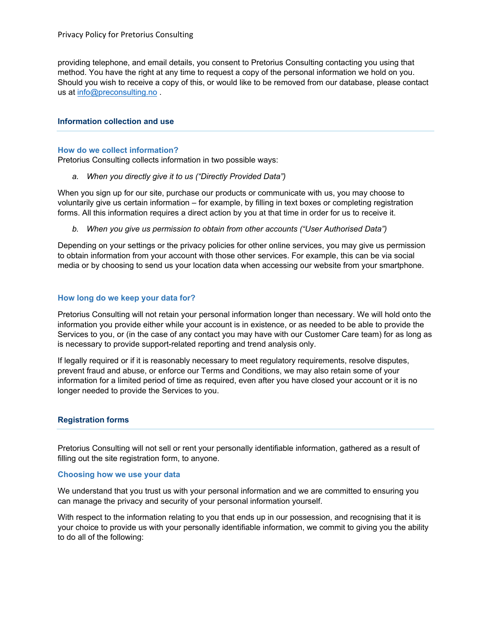providing telephone, and email details, you consent to Pretorius Consulting contacting you using that method. You have the right at any time to request a copy of the personal information we hold on you. Should you wish to receive a copy of this, or would like to be removed from our database, please contact us at [info@preconsulting.no](mailto:info@preconsulting.no) .

## **Information collection and use**

## **How do we collect information?**

Pretorius Consulting collects information in two possible ways:

*a. When you directly give it to us ("Directly Provided Data")*

When you sign up for our site, purchase our products or communicate with us, you may choose to voluntarily give us certain information – for example, by filling in text boxes or completing registration forms. All this information requires a direct action by you at that time in order for us to receive it.

*b. When you give us permission to obtain from other accounts ("User Authorised Data")*

Depending on your settings or the privacy policies for other online services, you may give us permission to obtain information from your account with those other services. For example, this can be via social media or by choosing to send us your location data when accessing our website from your smartphone.

## **How long do we keep your data for?**

Pretorius Consulting will not retain your personal information longer than necessary. We will hold onto the information you provide either while your account is in existence, or as needed to be able to provide the Services to you, or (in the case of any contact you may have with our Customer Care team) for as long as is necessary to provide support-related reporting and trend analysis only.

If legally required or if it is reasonably necessary to meet regulatory requirements, resolve disputes, prevent fraud and abuse, or enforce our Terms and Conditions, we may also retain some of your information for a limited period of time as required, even after you have closed your account or it is no longer needed to provide the Services to you.

### **Registration forms**

Pretorius Consulting will not sell or rent your personally identifiable information, gathered as a result of filling out the site registration form, to anyone.

### **Choosing how we use your data**

We understand that you trust us with your personal information and we are committed to ensuring you can manage the privacy and security of your personal information yourself.

With respect to the information relating to you that ends up in our possession, and recognising that it is your choice to provide us with your personally identifiable information, we commit to giving you the ability to do all of the following: